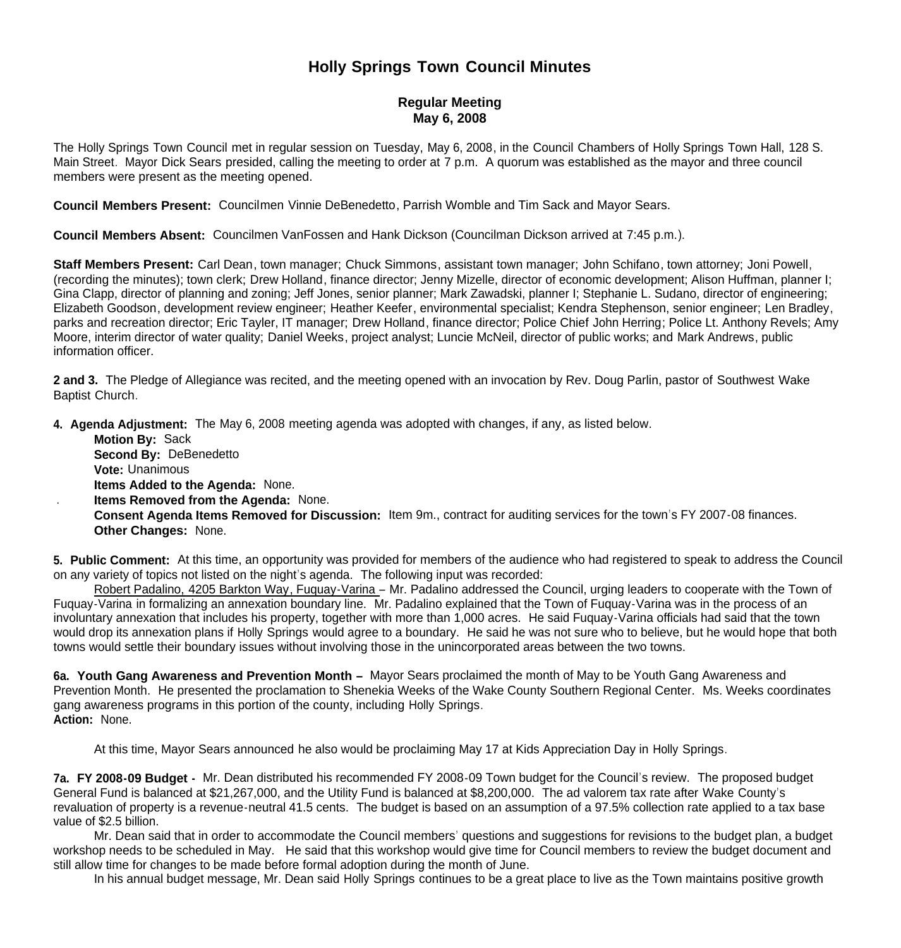## **Holly Springs Town Council Minutes**

## **Regular Meeting May 6, 2008**

The Holly Springs Town Council met in regular session on Tuesday, May 6, 2008, in the Council Chambers of Holly Springs Town Hall, 128 S. Main Street. Mayor Dick Sears presided, calling the meeting to order at 7 p.m. A quorum was established as the mayor and three council members were present as the meeting opened.

**Council Members Present:** Councilmen Vinnie DeBenedetto, Parrish Womble and Tim Sack and Mayor Sears.

**Council Members Absent:** Councilmen VanFossen and Hank Dickson (Councilman Dickson arrived at 7:45 p.m.).

**Staff Members Present:** Carl Dean, town manager; Chuck Simmons, assistant town manager; John Schifano, town attorney; Joni Powell, (recording the minutes); town clerk; Drew Holland, finance director; Jenny Mizelle, director of economic development; Alison Huffman, planner I; Gina Clapp, director of planning and zoning; Jeff Jones, senior planner; Mark Zawadski, planner I; Stephanie L. Sudano, director of engineering; Elizabeth Goodson, development review engineer; Heather Keefer, environmental specialist; Kendra Stephenson, senior engineer; Len Bradley, parks and recreation director; Eric Tayler, IT manager; Drew Holland, finance director; Police Chief John Herring; Police Lt. Anthony Revels; Amy Moore, interim director of water quality; Daniel Weeks, project analyst; Luncie McNeil, director of public works; and Mark Andrews, public information officer.

**2 and 3.** The Pledge of Allegiance was recited, and the meeting opened with an invocation by Rev. Doug Parlin, pastor of Southwest Wake Baptist Church.

**4. Agenda Adjustment:** The May 6, 2008 meeting agenda was adopted with changes, if any, as listed below.

- **Motion By:** Sack
- **Second By:** DeBenedetto
- **Vote:** Unanimous
- **Items Added to the Agenda:** None.
- . **Items Removed from the Agenda:** None.
	- **Consent Agenda Items Removed for Discussion:** Item 9m., contract for auditing services for the town's FY 2007-08 finances. **Other Changes:** None.

**5. Public Comment:** At this time, an opportunity was provided for members of the audience who had registered to speak to address the Council on any variety of topics not listed on the night's agenda. The following input was recorded:

Robert Padalino, 4205 Barkton Way, Fuquay-Varina – Mr. Padalino addressed the Council, urging leaders to cooperate with the Town of Fuquay-Varina in formalizing an annexation boundary line. Mr. Padalino explained that the Town of Fuquay-Varina was in the process of an involuntary annexation that includes his property, together with more than 1,000 acres. He said Fuquay-Varina officials had said that the town would drop its annexation plans if Holly Springs would agree to a boundary. He said he was not sure who to believe, but he would hope that both towns would settle their boundary issues without involving those in the unincorporated areas between the two towns.

**6a. Youth Gang Awareness and Prevention Month –** Mayor Sears proclaimed the month of May to be Youth Gang Awareness and Prevention Month. He presented the proclamation to Shenekia Weeks of the Wake County Southern Regional Center. Ms. Weeks coordinates gang awareness programs in this portion of the county, including Holly Springs. **Action:** None.

At this time, Mayor Sears announced he also would be proclaiming May 17 at Kids Appreciation Day in Holly Springs.

**7a. FY 2008-09 Budget -** Mr. Dean distributed his recommended FY 2008-09 Town budget for the Council's review. The proposed budget General Fund is balanced at \$21,267,000, and the Utility Fund is balanced at \$8,200,000. The ad valorem tax rate after Wake County's revaluation of property is a revenue-neutral 41.5 cents. The budget is based on an assumption of a 97.5% collection rate applied to a tax base value of \$2.5 billion.

 Mr. Dean said that in order to accommodate the Council members' questions and suggestions for revisions to the budget plan, a budget workshop needs to be scheduled in May. He said that this workshop would give time for Council members to review the budget document and still allow time for changes to be made before formal adoption during the month of June.

In his annual budget message, Mr. Dean said Holly Springs continues to be a great place to live as the Town maintains positive growth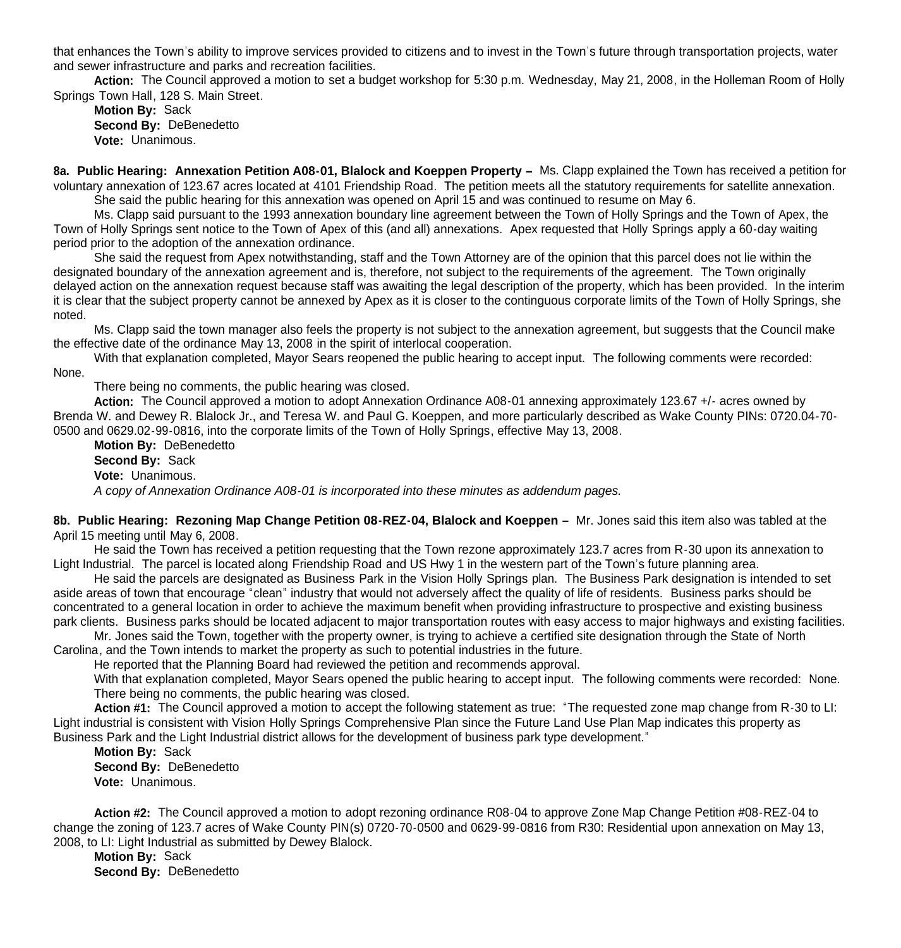that enhances the Town's ability to improve services provided to citizens and to invest in the Town's future through transportation projects, water and sewer infrastructure and parks and recreation facilities.

 **Action:** The Council approved a motion to set a budget workshop for 5:30 p.m. Wednesday, May 21, 2008, in the Holleman Room of Holly Springs Town Hall, 128 S. Main Street.

**Motion By:** Sack **Second By:** DeBenedetto **Vote:** Unanimous.

**8a.** Public Hearing: Annexation Petition A08-01, Blalock and Koeppen Property – Ms. Clapp explained the Town has received a petition for voluntary annexation of 123.67 acres located at 4101 Friendship Road. The petition meets all the statutory requirements for satellite annexation. She said the public hearing for this annexation was opened on April 15 and was continued to resume on May 6.

Ms. Clapp said pursuant to the 1993 annexation boundary line agreement between the Town of Holly Springs and the Town of Apex, the Town of Holly Springs sent notice to the Town of Apex of this (and all) annexations. Apex requested that Holly Springs apply a 60-day waiting period prior to the adoption of the annexation ordinance.

She said the request from Apex notwithstanding, staff and the Town Attorney are of the opinion that this parcel does not lie within the designated boundary of the annexation agreement and is, therefore, not subject to the requirements of the agreement. The Town originally delayed action on the annexation request because staff was awaiting the legal description of the property, which has been provided. In the interim it is clear that the subject property cannot be annexed by Apex as it is closer to the continguous corporate limits of the Town of Holly Springs, she noted.

Ms. Clapp said the town manager also feels the property is not subject to the annexation agreement, but suggests that the Council make the effective date of the ordinance May 13, 2008 in the spirit of interlocal cooperation.

With that explanation completed, Mayor Sears reopened the public hearing to accept input. The following comments were recorded: None.

There being no comments, the public hearing was closed.

**Action:** The Council approved a motion to adopt Annexation Ordinance A08-01 annexing approximately 123.67 +/- acres owned by Brenda W. and Dewey R. Blalock Jr., and Teresa W. and Paul G. Koeppen, and more particularly described as Wake County PINs: 0720.04-70- 0500 and 0629.02-99-0816, into the corporate limits of the Town of Holly Springs, effective May 13, 2008.

**Motion By:** DeBenedetto **Second By:** Sack **Vote:** Unanimous. *A copy of Annexation Ordinance A08-01 is incorporated into these minutes as addendum pages.*

**8b. Public Hearing: Rezoning Map Change Petition 08-REZ-04, Blalock and Koeppen –** Mr. Jones said this item also was tabled at the April 15 meeting until May 6, 2008.

 He said the Town has received a petition requesting that the Town rezone approximately 123.7 acres from R-30 upon its annexation to Light Industrial. The parcel is located along Friendship Road and US Hwy 1 in the western part of the Town's future planning area.

He said the parcels are designated as Business Park in the Vision Holly Springs plan. The Business Park designation is intended to set aside areas of town that encourage "clean" industry that would not adversely affect the quality of life of residents. Business parks should be concentrated to a general location in order to achieve the maximum benefit when providing infrastructure to prospective and existing business park clients. Business parks should be located adjacent to major transportation routes with easy access to major highways and existing facilities.

 Mr. Jones said the Town, together with the property owner, is trying to achieve a certified site designation through the State of North Carolina, and the Town intends to market the property as such to potential industries in the future.

He reported that the Planning Board had reviewed the petition and recommends approval.

With that explanation completed, Mayor Sears opened the public hearing to accept input. The following comments were recorded: None. There being no comments, the public hearing was closed.

**Action #1:** The Council approved a motion to accept the following statement as true: "The requested zone map change from R-30 to LI: Light industrial is consistent with Vision Holly Springs Comprehensive Plan since the Future Land Use Plan Map indicates this property as Business Park and the Light Industrial district allows for the development of business park type development."

**Motion By: Sack Second By: DeBenedetto Vote:** Unanimous.

**Action #2:** The Council approved a motion to adopt rezoning ordinance R08-04 to approve Zone Map Change Petition #08-REZ-04 to change the zoning of 123.7 acres of Wake County PIN(s) 0720-70-0500 and 0629-99-0816 from R30: Residential upon annexation on May 13, 2008, to LI: Light Industrial as submitted by Dewey Blalock.

**Motion By:** Sack **Second By: DeBenedetto**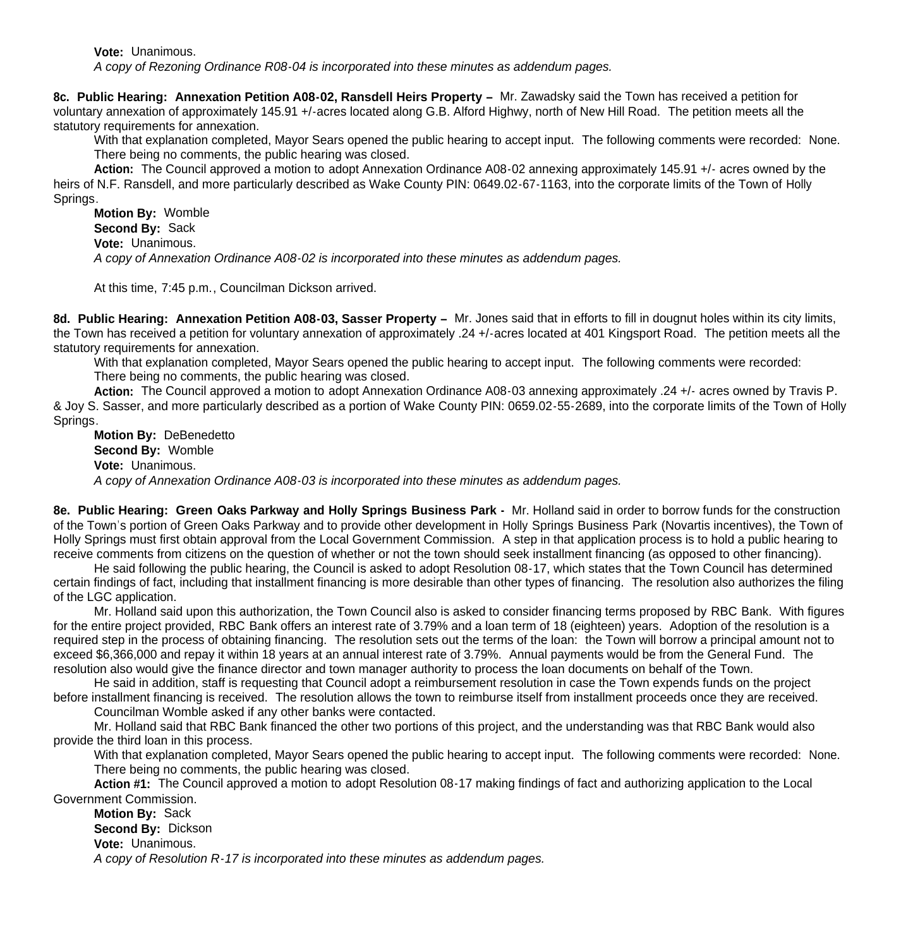**Vote:** Unanimous. *A copy of Rezoning Ordinance R08-04 is incorporated into these minutes as addendum pages.*

**8c. Public Hearing: Annexation Petition A08-02, Ransdell Heirs Property –** Mr. Zawadsky said the Town has received a petition for voluntary annexation of approximately 145.91 +/-acres located along G.B. Alford Highwy, north of New Hill Road. The petition meets all the statutory requirements for annexation.

With that explanation completed, Mayor Sears opened the public hearing to accept input. The following comments were recorded: None. There being no comments, the public hearing was closed.

**Action:** The Council approved a motion to adopt Annexation Ordinance A08-02 annexing approximately 145.91 +/- acres owned by the heirs of N.F. Ransdell, and more particularly described as Wake County PIN: 0649.02-67-1163, into the corporate limits of the Town of Holly Springs.

**Motion By:** Womble **Second By:** Sack **Vote:** Unanimous. *A copy of Annexation Ordinance A08-02 is incorporated into these minutes as addendum pages.*

At this time, 7:45 p.m., Councilman Dickson arrived.

**8d. Public Hearing: Annexation Petition A08-03, Sasser Property –** Mr. Jones said that in efforts to fill in dougnut holes within its city limits, the Town has received a petition for voluntary annexation of approximately .24 +/-acres located at 401 Kingsport Road. The petition meets all the statutory requirements for annexation.

With that explanation completed, Mayor Sears opened the public hearing to accept input. The following comments were recorded: There being no comments, the public hearing was closed.

**Action:** The Council approved a motion to adopt Annexation Ordinance A08-03 annexing approximately .24 +/- acres owned by Travis P. & Joy S. Sasser, and more particularly described as a portion of Wake County PIN: 0659.02-55-2689, into the corporate limits of the Town of Holly Springs.

**Motion By:** DeBenedetto **Second By:** Womble **Vote:** Unanimous. *A copy of Annexation Ordinance A08-03 is incorporated into these minutes as addendum pages.*

**8e. Public Hearing: Green Oaks Parkway and Holly Springs Business Park -** Mr. Holland said in order to borrow funds for the construction of the Town's portion of Green Oaks Parkway and to provide other development in Holly Springs Business Park (Novartis incentives), the Town of Holly Springs must first obtain approval from the Local Government Commission. A step in that application process is to hold a public hearing to receive comments from citizens on the question of whether or not the town should seek installment financing (as opposed to other financing).

 He said following the public hearing, the Council is asked to adopt Resolution 08-17, which states that the Town Council has determined certain findings of fact, including that installment financing is more desirable than other types of financing. The resolution also authorizes the filing of the LGC application.

 Mr. Holland said upon this authorization, the Town Council also is asked to consider financing terms proposed by RBC Bank. With figures for the entire project provided, RBC Bank offers an interest rate of 3.79% and a loan term of 18 (eighteen) years. Adoption of the resolution is a required step in the process of obtaining financing. The resolution sets out the terms of the loan: the Town will borrow a principal amount not to exceed \$6,366,000 and repay it within 18 years at an annual interest rate of 3.79%. Annual payments would be from the General Fund. The resolution also would give the finance director and town manager authority to process the loan documents on behalf of the Town.

 He said in addition, staff is requesting that Council adopt a reimbursement resolution in case the Town expends funds on the project before installment financing is received. The resolution allows the town to reimburse itself from installment proceeds once they are received.

Councilman Womble asked if any other banks were contacted.

 Mr. Holland said that RBC Bank financed the other two portions of this project, and the understanding was that RBC Bank would also provide the third loan in this process.

With that explanation completed, Mayor Sears opened the public hearing to accept input. The following comments were recorded: None. There being no comments, the public hearing was closed.

**Action #1:** The Council approved a motion to adopt Resolution 08-17 making findings of fact and authorizing application to the Local Government Commission.

**Motion By:** Sack **Second By:** Dickson **Vote:** Unanimous. *A copy of Resolution R-17 is incorporated into these minutes as addendum pages.*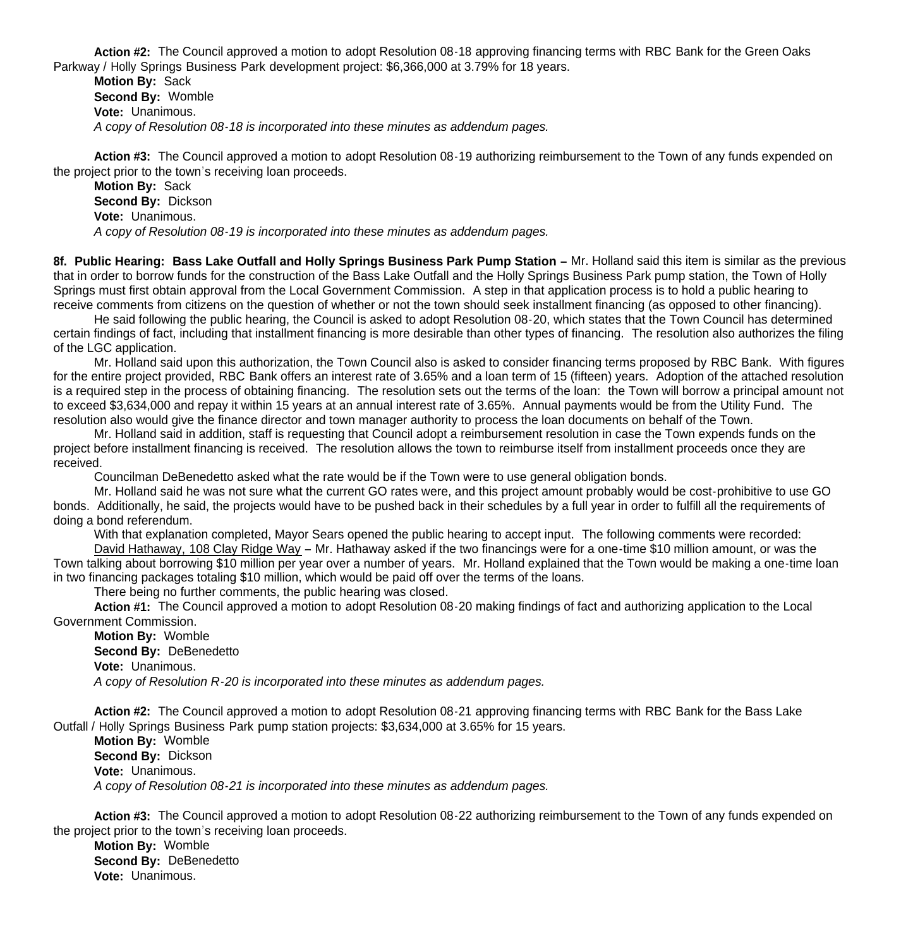**Action #2:** The Council approved a motion to adopt Resolution 08-18 approving financing terms with RBC Bank for the Green Oaks Parkway / Holly Springs Business Park development project: \$6,366,000 at 3.79% for 18 years.

**Motion By:** Sack **Second By:** Womble **Vote:** Unanimous. *A copy of Resolution 08-18 is incorporated into these minutes as addendum pages.*

**Action #3:** The Council approved a motion to adopt Resolution 08-19 authorizing reimbursement to the Town of any funds expended on the project prior to the town's receiving loan proceeds.

**Motion By:** Sack **Second By:** Dickson **Vote:** Unanimous. *A copy of Resolution 08-19 is incorporated into these minutes as addendum pages.*

**8f. Public Hearing: Bass Lake Outfall and Holly Springs Business Park Pump Station –** Mr. Holland said this item is similar as the previous that in order to borrow funds for the construction of the Bass Lake Outfall and the Holly Springs Business Park pump station, the Town of Holly Springs must first obtain approval from the Local Government Commission. A step in that application process is to hold a public hearing to receive comments from citizens on the question of whether or not the town should seek installment financing (as opposed to other financing).

 He said following the public hearing, the Council is asked to adopt Resolution 08-20, which states that the Town Council has determined certain findings of fact, including that installment financing is more desirable than other types of financing. The resolution also authorizes the filing of the LGC application.

 Mr. Holland said upon this authorization, the Town Council also is asked to consider financing terms proposed by RBC Bank. With figures for the entire project provided, RBC Bank offers an interest rate of 3.65% and a loan term of 15 (fifteen) years. Adoption of the attached resolution is a required step in the process of obtaining financing. The resolution sets out the terms of the loan: the Town will borrow a principal amount not to exceed \$3,634,000 and repay it within 15 years at an annual interest rate of 3.65%. Annual payments would be from the Utility Fund. The resolution also would give the finance director and town manager authority to process the loan documents on behalf of the Town.

 Mr. Holland said in addition, staff is requesting that Council adopt a reimbursement resolution in case the Town expends funds on the project before installment financing is received. The resolution allows the town to reimburse itself from installment proceeds once they are received.

Councilman DeBenedetto asked what the rate would be if the Town were to use general obligation bonds.

Mr. Holland said he was not sure what the current GO rates were, and this project amount probably would be cost-prohibitive to use GO bonds. Additionally, he said, the projects would have to be pushed back in their schedules by a full year in order to fulfill all the requirements of doing a bond referendum.

With that explanation completed, Mayor Sears opened the public hearing to accept input. The following comments were recorded: David Hathaway, 108 Clay Ridge Way – Mr. Hathaway asked if the two financings were for a one-time \$10 million amount, or was the

Town talking about borrowing \$10 million per year over a number of years. Mr. Holland explained that the Town would be making a one-time loan in two financing packages totaling \$10 million, which would be paid off over the terms of the loans.

There being no further comments, the public hearing was closed.

 **Action #1:** The Council approved a motion to adopt Resolution 08-20 making findings of fact and authorizing application to the Local Government Commission.

**Motion By:** Womble **Second By:** DeBenedetto **Vote:** Unanimous. *A copy of Resolution R-20 is incorporated into these minutes as addendum pages.*

**Action #2:** The Council approved a motion to adopt Resolution 08-21 approving financing terms with RBC Bank for the Bass Lake Outfall / Holly Springs Business Park pump station projects: \$3,634,000 at 3.65% for 15 years.

**Motion By:** Womble **Second By:** Dickson **Vote:** Unanimous. *A copy of Resolution 08-21 is incorporated into these minutes as addendum pages.*

**Action #3:** The Council approved a motion to adopt Resolution 08-22 authorizing reimbursement to the Town of any funds expended on the project prior to the town's receiving loan proceeds.

**Motion By:** Womble **Second By: DeBenedetto Vote:** Unanimous.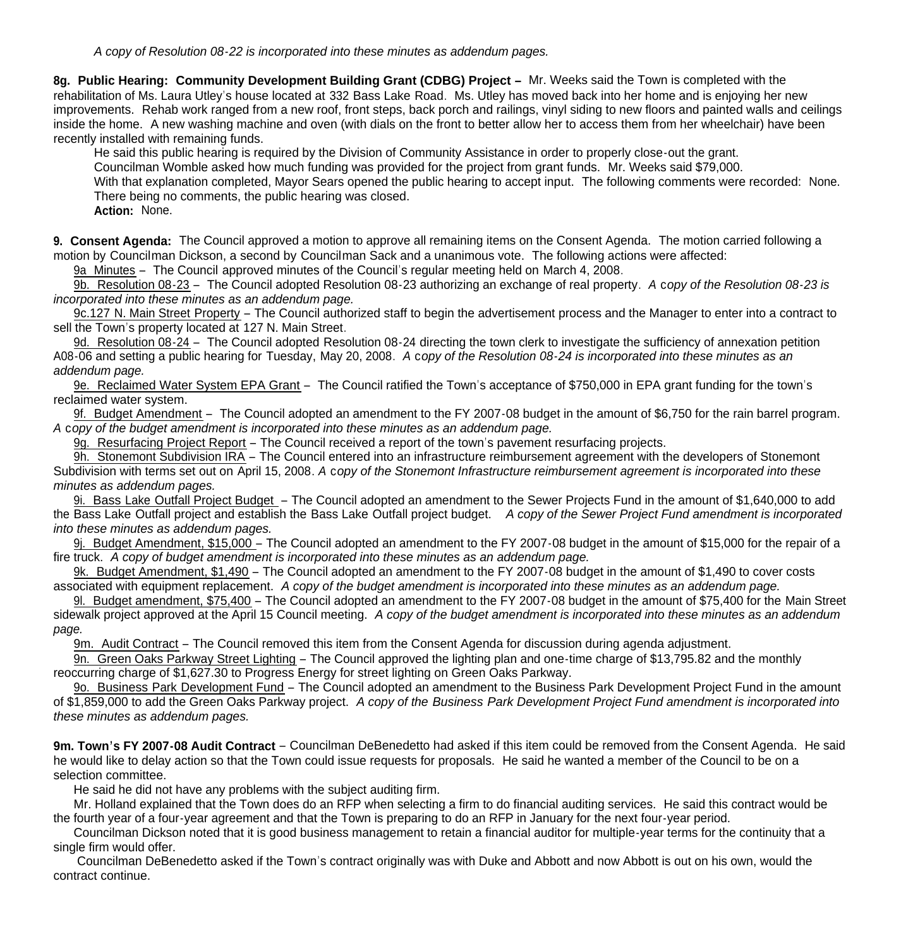**8g. Public Hearing: Community Development Building Grant (CDBG) Project –** Mr. Weeks said the Town is completed with the rehabilitation of Ms. Laura Utley's house located at 332 Bass Lake Road. Ms. Utley has moved back into her home and is enjoying her new improvements. Rehab work ranged from a new roof, front steps, back porch and railings, vinyl siding to new floors and painted walls and ceilings inside the home. A new washing machine and oven (with dials on the front to better allow her to access them from her wheelchair) have been recently installed with remaining funds.

He said this public hearing is required by the Division of Community Assistance in order to properly close-out the grant.

Councilman Womble asked how much funding was provided for the project from grant funds. Mr. Weeks said \$79,000.

With that explanation completed, Mayor Sears opened the public hearing to accept input. The following comments were recorded: None. There being no comments, the public hearing was closed.

**Action:** None.

**9. Consent Agenda:** The Council approved a motion to approve all remaining items on the Consent Agenda. The motion carried following a motion by Councilman Dickson, a second by Councilman Sack and a unanimous vote. The following actions were affected:

9a Minutes – The Council approved minutes of the Council's regular meeting held on March 4, 2008.

9b. Resolution 08-23 – The Council adopted Resolution 08-23 authorizing an exchange of real property. *A* c*opy of the Resolution 08-23 is incorporated into these minutes as an addendum page.*

9c.127 N. Main Street Property – The Council authorized staff to begin the advertisement process and the Manager to enter into a contract to sell the Town's property located at 127 N. Main Street.

9d. Resolution 08-24 – The Council adopted Resolution 08-24 directing the town clerk to investigate the sufficiency of annexation petition A08-06 and setting a public hearing for Tuesday, May 20, 2008. *A* c*opy of the Resolution 08-24 is incorporated into these minutes as an addendum page.*

9e. Reclaimed Water System EPA Grant – The Council ratified the Town's acceptance of \$750,000 in EPA grant funding for the town's reclaimed water system.

 9f. Budget Amendment – The Council adopted an amendment to the FY 2007-08 budget in the amount of \$6,750 for the rain barrel program. *A* c*opy of the budget amendment is incorporated into these minutes as an addendum page.*

9g. Resurfacing Project Report – The Council received a report of the town's pavement resurfacing projects.

 9h. Stonemont Subdivision IRA – The Council entered into an infrastructure reimbursement agreement with the developers of Stonemont Subdivision with terms set out on April 15, 2008. *A* c*opy of the Stonemont Infrastructure reimbursement agreement is incorporated into these minutes as addendum pages.*

 9i. Bass Lake Outfall Project Budget – The Council adopted an amendment to the Sewer Projects Fund in the amount of \$1,640,000 to add the Bass Lake Outfall project and establish the Bass Lake Outfall project budget. *A copy of the Sewer Project Fund amendment is incorporated into these minutes as addendum pages.*

 9j. Budget Amendment, \$15,000 – The Council adopted an amendment to the FY 2007-08 budget in the amount of \$15,000 for the repair of a fire truck. *A copy of budget amendment is incorporated into these minutes as an addendum page.*

 9k. Budget Amendment, \$1,490 – The Council adopted an amendment to the FY 2007-08 budget in the amount of \$1,490 to cover costs associated with equipment replacement. *A copy of the budget amendment is incorporated into these minutes as an addendum page.*

 9l. Budget amendment, \$75,400 – The Council adopted an amendment to the FY 2007-08 budget in the amount of \$75,400 for the Main Street sidewalk project approved at the April 15 Council meeting. *A copy of the budget amendment is incorporated into these minutes as an addendum page.*

9m. Audit Contract – The Council removed this item from the Consent Agenda for discussion during agenda adjustment.

 9n. Green Oaks Parkway Street Lighting – The Council approved the lighting plan and one-time charge of \$13,795.82 and the monthly reoccurring charge of \$1,627.30 to Progress Energy for street lighting on Green Oaks Parkway.

 9o. Business Park Development Fund – The Council adopted an amendment to the Business Park Development Project Fund in the amount of \$1,859,000 to add the Green Oaks Parkway project. *A copy of the Business Park Development Project Fund amendment is incorporated into these minutes as addendum pages.*

**9m. Town's FY 2007-08 Audit Contract** – Councilman DeBenedetto had asked if this item could be removed from the Consent Agenda. He said he would like to delay action so that the Town could issue requests for proposals. He said he wanted a member of the Council to be on a selection committee.

He said he did not have any problems with the subject auditing firm.

 Mr. Holland explained that the Town does do an RFP when selecting a firm to do financial auditing services. He said this contract would be the fourth year of a four-year agreement and that the Town is preparing to do an RFP in January for the next four-year period.

 Councilman Dickson noted that it is good business management to retain a financial auditor for multiple-year terms for the continuity that a single firm would offer.

 Councilman DeBenedetto asked if the Town's contract originally was with Duke and Abbott and now Abbott is out on his own, would the contract continue.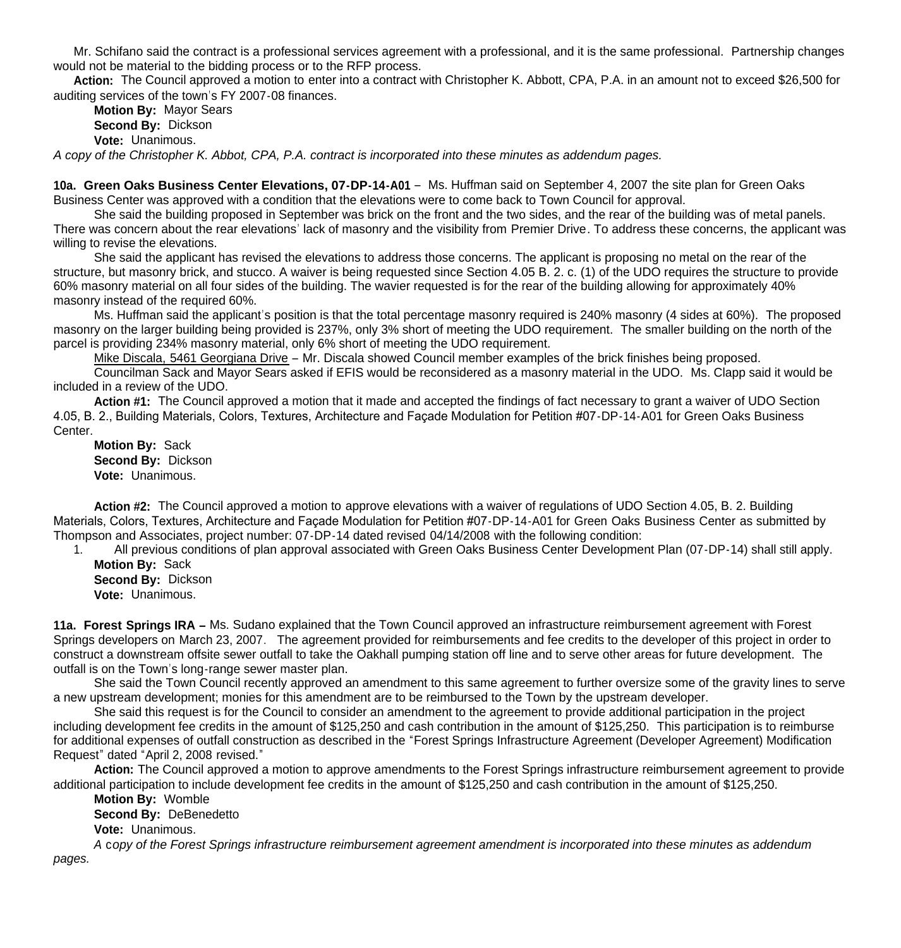Mr. Schifano said the contract is a professional services agreement with a professional, and it is the same professional. Partnership changes would not be material to the bidding process or to the RFP process.

Action: The Council approved a motion to enter into a contract with Christopher K. Abbott, CPA, P.A. in an amount not to exceed \$26,500 for auditing services of the town's FY 2007-08 finances.

**Motion By:** Mayor Sears **Second By:** Dickson **Vote:** Unanimous.

*A copy of the Christopher K. Abbot, CPA, P.A. contract is incorporated into these minutes as addendum pages.*

**10a. Green Oaks Business Center Elevations, 07-DP-14-A01** – Ms. Huffman said on September 4, 2007 the site plan for Green Oaks Business Center was approved with a condition that the elevations were to come back to Town Council for approval.

 She said the building proposed in September was brick on the front and the two sides, and the rear of the building was of metal panels. There was concern about the rear elevations' lack of masonry and the visibility from Premier Drive. To address these concerns, the applicant was willing to revise the elevations.

 She said the applicant has revised the elevations to address those concerns. The applicant is proposing no metal on the rear of the structure, but masonry brick, and stucco. A waiver is being requested since Section 4.05 B. 2. c. (1) of the UDO requires the structure to provide 60% masonry material on all four sides of the building. The wavier requested is for the rear of the building allowing for approximately 40% masonry instead of the required 60%.

 Ms. Huffman said the applicant's position is that the total percentage masonry required is 240% masonry (4 sides at 60%). The proposed masonry on the larger building being provided is 237%, only 3% short of meeting the UDO requirement. The smaller building on the north of the parcel is providing 234% masonry material, only 6% short of meeting the UDO requirement.

Mike Discala, 5461 Georgiana Drive – Mr. Discala showed Council member examples of the brick finishes being proposed.

Councilman Sack and Mayor Sears asked if EFIS would be reconsidered as a masonry material in the UDO. Ms. Clapp said it would be included in a review of the UDO.

**Action #1:** The Council approved a motion that it made and accepted the findings of fact necessary to grant a waiver of UDO Section 4.05, B. 2., Building Materials, Colors, Textures, Architecture and Façade Modulation for Petition #07-DP-14-A01 for Green Oaks Business **Center** 

**Motion By:** Sack **Second By:** Dickson **Vote:** Unanimous.

**Action #2:** The Council approved a motion to approve elevations with a waiver of regulations of UDO Section 4.05, B. 2. Building Materials, Colors, Textures, Architecture and Façade Modulation for Petition #07-DP-14-A01 for Green Oaks Business Center as submitted by Thompson and Associates, project number: 07-DP-14 dated revised 04/14/2008 with the following condition:

1. All previous conditions of plan approval associated with Green Oaks Business Center Development Plan (07-DP-14) shall still apply. **Motion By:** Sack

**Second By:** Dickson **Vote:** Unanimous.

**11a. Forest Springs IRA –** Ms. Sudano explained that the Town Council approved an infrastructure reimbursement agreement with Forest Springs developers on March 23, 2007. The agreement provided for reimbursements and fee credits to the developer of this project in order to construct a downstream offsite sewer outfall to take the Oakhall pumping station off line and to serve other areas for future development. The outfall is on the Town's long-range sewer master plan.

 She said the Town Council recently approved an amendment to this same agreement to further oversize some of the gravity lines to serve a new upstream development; monies for this amendment are to be reimbursed to the Town by the upstream developer.

She said this request is for the Council to consider an amendment to the agreement to provide additional participation in the project including development fee credits in the amount of \$125,250 and cash contribution in the amount of \$125,250. This participation is to reimburse for additional expenses of outfall construction as described in the "Forest Springs Infrastructure Agreement (Developer Agreement) Modification Request" dated "April 2, 2008 revised."

**Action:** The Council approved a motion to approve amendments to the Forest Springs infrastructure reimbursement agreement to provide additional participation to include development fee credits in the amount of \$125,250 and cash contribution in the amount of \$125,250.

**Motion By:** Womble

**Second By:** DeBenedetto

**Vote:** Unanimous.

 *A* c*opy of the Forest Springs infrastructure reimbursement agreement amendment is incorporated into these minutes as addendum pages.*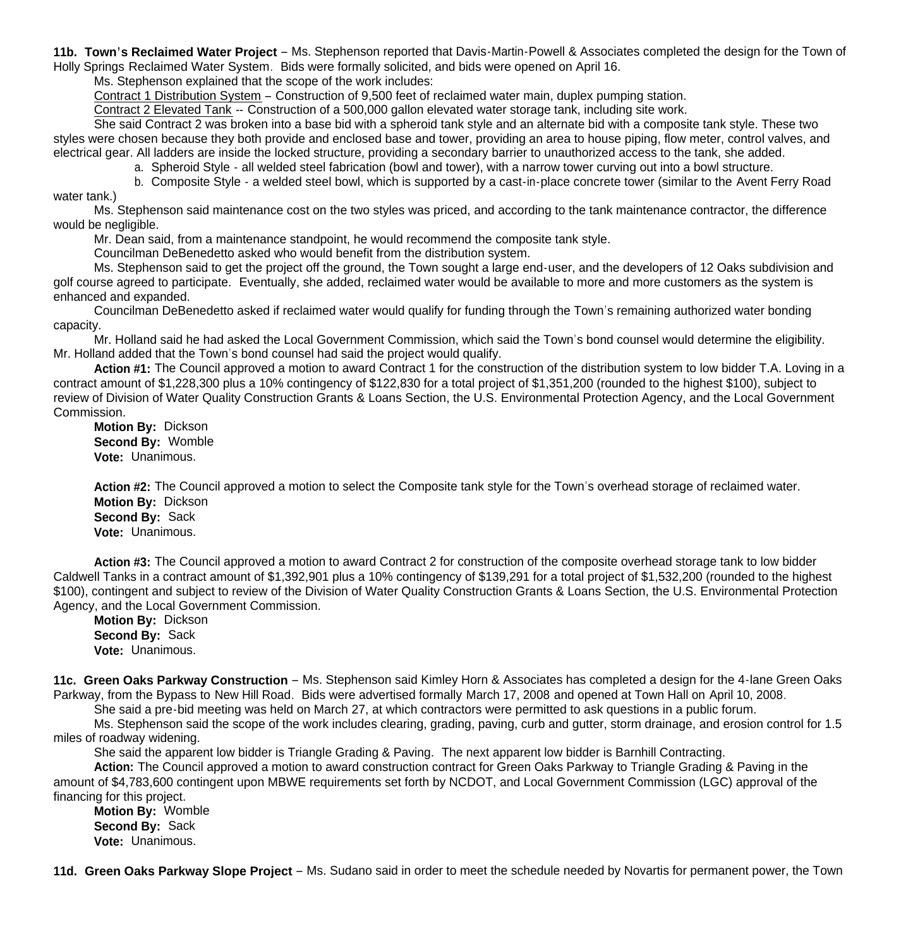**11b. Town's Reclaimed Water Project** – Ms. Stephenson reported that Davis-Martin-Powell & Associates completed the design for the Town of Holly Springs Reclaimed Water System. Bids were formally solicited, and bids were opened on April 16.

Ms. Stephenson explained that the scope of the work includes:

Contract 1 Distribution System – Construction of 9,500 feet of reclaimed water main, duplex pumping station.

Contract 2 Elevated Tank -- Construction of a 500,000 gallon elevated water storage tank, including site work.

 She said Contract 2 was broken into a base bid with a spheroid tank style and an alternate bid with a composite tank style. These two styles were chosen because they both provide and enclosed base and tower, providing an area to house piping, flow meter, control valves, and electrical gear. All ladders are inside the locked structure, providing a secondary barrier to unauthorized access to the tank, she added.

a. Spheroid Style - all welded steel fabrication (bowl and tower), with a narrow tower curving out into a bowl structure.

 b. Composite Style - a welded steel bowl, which is supported by a cast-in-place concrete tower (similar to the Avent Ferry Road water tank.)

 Ms. Stephenson said maintenance cost on the two styles was priced, and according to the tank maintenance contractor, the difference would be negligible.

Mr. Dean said, from a maintenance standpoint, he would recommend the composite tank style.

Councilman DeBenedetto asked who would benefit from the distribution system.

 Ms. Stephenson said to get the project off the ground, the Town sought a large end-user, and the developers of 12 Oaks subdivision and golf course agreed to participate. Eventually, she added, reclaimed water would be available to more and more customers as the system is enhanced and expanded.

 Councilman DeBenedetto asked if reclaimed water would qualify for funding through the Town's remaining authorized water bonding capacity.

 Mr. Holland said he had asked the Local Government Commission, which said the Town's bond counsel would determine the eligibility. Mr. Holland added that the Town's bond counsel had said the project would qualify.

**Action #1:** The Council approved a motion to award Contract 1 for the construction of the distribution system to low bidder T.A. Loving in a contract amount of \$1,228,300 plus a 10% contingency of \$122,830 for a total project of \$1,351,200 (rounded to the highest \$100), subject to review of Division of Water Quality Construction Grants & Loans Section, the U.S. Environmental Protection Agency, and the Local Government Commission.

**Motion By:** Dickson **Second By:** Womble **Vote:** Unanimous.

**Action #2:** The Council approved a motion to select the Composite tank style for the Town's overhead storage of reclaimed water. **Motion By:** Dickson **Second By:** Sack **Vote:** Unanimous.

**Action #3:** The Council approved a motion to award Contract 2 for construction of the composite overhead storage tank to low bidder Caldwell Tanks in a contract amount of \$1,392,901 plus a 10% contingency of \$139,291 for a total project of \$1,532,200 (rounded to the highest \$100), contingent and subject to review of the Division of Water Quality Construction Grants & Loans Section, the U.S. Environmental Protection Agency, and the Local Government Commission.

**Motion By:** Dickson **Second By:** Sack **Vote:** Unanimous.

**11c. Green Oaks Parkway Construction** – Ms. Stephenson said Kimley Horn & Associates has completed a design for the 4-lane Green Oaks Parkway, from the Bypass to New Hill Road. Bids were advertised formally March 17, 2008 and opened at Town Hall on April 10, 2008.

She said a pre-bid meeting was held on March 27, at which contractors were permitted to ask questions in a public forum.

 Ms. Stephenson said the scope of the work includes clearing, grading, paving, curb and gutter, storm drainage, and erosion control for 1.5 miles of roadway widening.

She said the apparent low bidder is Triangle Grading & Paving. The next apparent low bidder is Barnhill Contracting.

**Action:** The Council approved a motion to award construction contract for Green Oaks Parkway to Triangle Grading & Paving in the amount of \$4,783,600 contingent upon MBWE requirements set forth by NCDOT, and Local Government Commission (LGC) approval of the financing for this project.

**Motion By:** Womble **Second By:** Sack **Vote:** Unanimous.

**11d. Green Oaks Parkway Slope Project** – Ms. Sudano said in order to meet the schedule needed by Novartis for permanent power, the Town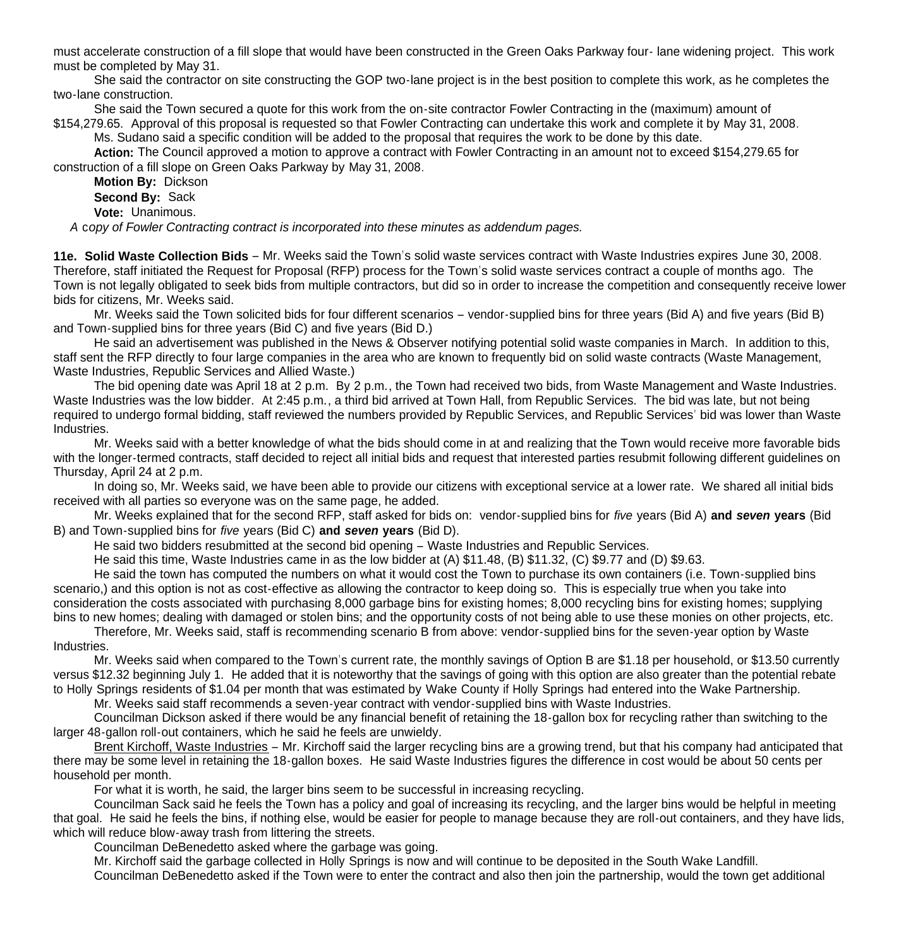must accelerate construction of a fill slope that would have been constructed in the Green Oaks Parkway four- lane widening project. This work must be completed by May 31.

 She said the contractor on site constructing the GOP two-lane project is in the best position to complete this work, as he completes the two-lane construction.

She said the Town secured a quote for this work from the on-site contractor Fowler Contracting in the (maximum) amount of

\$154,279.65. Approval of this proposal is requested so that Fowler Contracting can undertake this work and complete it by May 31, 2008. Ms. Sudano said a specific condition will be added to the proposal that requires the work to be done by this date.

**Action:** The Council approved a motion to approve a contract with Fowler Contracting in an amount not to exceed \$154,279.65 for construction of a fill slope on Green Oaks Parkway by May 31, 2008.

**Motion By:** Dickson

 **Second By:** Sack **Vote:** Unanimous.

 *A* c*opy of Fowler Contracting contract is incorporated into these minutes as addendum pages.*

**11e. Solid Waste Collection Bids** – Mr. Weeks said the Town's solid waste services contract with Waste Industries expires June 30, 2008. Therefore, staff initiated the Request for Proposal (RFP) process for the Town's solid waste services contract a couple of months ago. The Town is not legally obligated to seek bids from multiple contractors, but did so in order to increase the competition and consequently receive lower bids for citizens, Mr. Weeks said.

 Mr. Weeks said the Town solicited bids for four different scenarios – vendor-supplied bins for three years (Bid A) and five years (Bid B) and Town-supplied bins for three years (Bid C) and five years (Bid D.)

 He said an advertisement was published in the News & Observer notifying potential solid waste companies in March. In addition to this, staff sent the RFP directly to four large companies in the area who are known to frequently bid on solid waste contracts (Waste Management, Waste Industries, Republic Services and Allied Waste.)

 The bid opening date was April 18 at 2 p.m. By 2 p.m., the Town had received two bids, from Waste Management and Waste Industries. Waste Industries was the low bidder. At 2:45 p.m., a third bid arrived at Town Hall, from Republic Services. The bid was late, but not being required to undergo formal bidding, staff reviewed the numbers provided by Republic Services, and Republic Services' bid was lower than Waste Industries.

 Mr. Weeks said with a better knowledge of what the bids should come in at and realizing that the Town would receive more favorable bids with the longer-termed contracts, staff decided to reject all initial bids and request that interested parties resubmit following different guidelines on Thursday, April 24 at 2 p.m.

 In doing so, Mr. Weeks said, we have been able to provide our citizens with exceptional service at a lower rate. We shared all initial bids received with all parties so everyone was on the same page, he added.

 Mr. Weeks explained that for the second RFP, staff asked for bids on: vendor-supplied bins for *five* years (Bid A) **and** *seven* **years** (Bid B) and Town-supplied bins for *five* years (Bid C) **and** *seven* **years** (Bid D).

He said two bidders resubmitted at the second bid opening – Waste Industries and Republic Services.

He said this time, Waste Industries came in as the low bidder at (A) \$11.48, (B) \$11.32, (C) \$9.77 and (D) \$9.63.

 He said the town has computed the numbers on what it would cost the Town to purchase its own containers (i.e. Town-supplied bins scenario,) and this option is not as cost-effective as allowing the contractor to keep doing so. This is especially true when you take into consideration the costs associated with purchasing 8,000 garbage bins for existing homes; 8,000 recycling bins for existing homes; supplying bins to new homes; dealing with damaged or stolen bins; and the opportunity costs of not being able to use these monies on other projects, etc.

 Therefore, Mr. Weeks said, staff is recommending scenario B from above: vendor-supplied bins for the seven-year option by Waste Industries.

 Mr. Weeks said when compared to the Town's current rate, the monthly savings of Option B are \$1.18 per household, or \$13.50 currently versus \$12.32 beginning July 1. He added that it is noteworthy that the savings of going with this option are also greater than the potential rebate to Holly Springs residents of \$1.04 per month that was estimated by Wake County if Holly Springs had entered into the Wake Partnership.

Mr. Weeks said staff recommends a seven-year contract with vendor-supplied bins with Waste Industries.

 Councilman Dickson asked if there would be any financial benefit of retaining the 18-gallon box for recycling rather than switching to the larger 48-gallon roll-out containers, which he said he feels are unwieldy.

 Brent Kirchoff, Waste Industries – Mr. Kirchoff said the larger recycling bins are a growing trend, but that his company had anticipated that there may be some level in retaining the 18-gallon boxes. He said Waste Industries figures the difference in cost would be about 50 cents per household per month.

For what it is worth, he said, the larger bins seem to be successful in increasing recycling.

 Councilman Sack said he feels the Town has a policy and goal of increasing its recycling, and the larger bins would be helpful in meeting that goal. He said he feels the bins, if nothing else, would be easier for people to manage because they are roll-out containers, and they have lids, which will reduce blow-away trash from littering the streets.

Councilman DeBenedetto asked where the garbage was going.

Mr. Kirchoff said the garbage collected in Holly Springs is now and will continue to be deposited in the South Wake Landfill.

Councilman DeBenedetto asked if the Town were to enter the contract and also then join the partnership, would the town get additional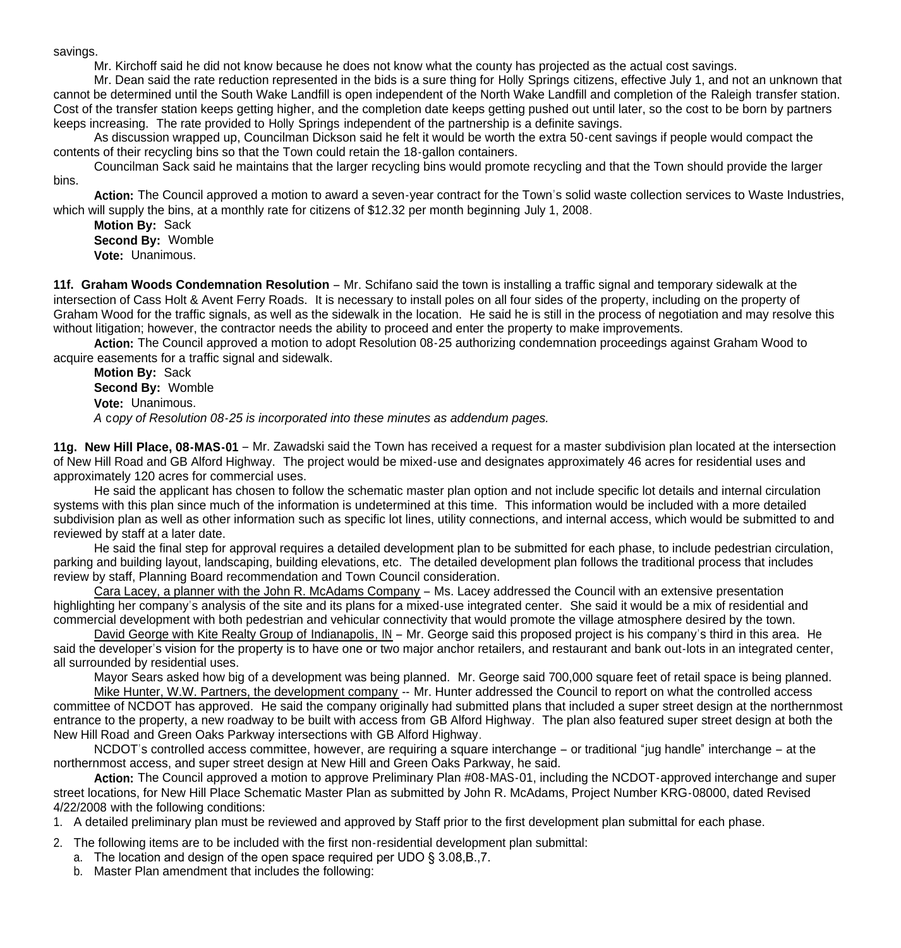savings.

Mr. Kirchoff said he did not know because he does not know what the county has projected as the actual cost savings.

 Mr. Dean said the rate reduction represented in the bids is a sure thing for Holly Springs citizens, effective July 1, and not an unknown that cannot be determined until the South Wake Landfill is open independent of the North Wake Landfill and completion of the Raleigh transfer station. Cost of the transfer station keeps getting higher, and the completion date keeps getting pushed out until later, so the cost to be born by partners keeps increasing. The rate provided to Holly Springs independent of the partnership is a definite savings.

 As discussion wrapped up, Councilman Dickson said he felt it would be worth the extra 50-cent savings if people would compact the contents of their recycling bins so that the Town could retain the 18-gallon containers.

 Councilman Sack said he maintains that the larger recycling bins would promote recycling and that the Town should provide the larger bins.

**Action:** The Council approved a motion to award a seven-year contract for the Town's solid waste collection services to Waste Industries, which will supply the bins, at a monthly rate for citizens of \$12.32 per month beginning July 1, 2008.

**Motion By:** Sack **Second By:** Womble **Vote:** Unanimous.

**11f. Graham Woods Condemnation Resolution** – Mr. Schifano said the town is installing a traffic signal and temporary sidewalk at the intersection of Cass Holt & Avent Ferry Roads. It is necessary to install poles on all four sides of the property, including on the property of Graham Wood for the traffic signals, as well as the sidewalk in the location. He said he is still in the process of negotiation and may resolve this without litigation; however, the contractor needs the ability to proceed and enter the property to make improvements.

**Action:** The Council approved a motion to adopt Resolution 08-25 authorizing condemnation proceedings against Graham Wood to acquire easements for a traffic signal and sidewalk.

**Motion By:** Sack **Second By:** Womble **Vote:** Unanimous. *A* c*opy of Resolution 08-25 is incorporated into these minutes as addendum pages.*

**11g. New Hill Place, 08-MAS-01** – Mr. Zawadski said the Town has received a request for a master subdivision plan located at the intersection of New Hill Road and GB Alford Highway. The project would be mixed-use and designates approximately 46 acres for residential uses and approximately 120 acres for commercial uses.

 He said the applicant has chosen to follow the schematic master plan option and not include specific lot details and internal circulation systems with this plan since much of the information is undetermined at this time. This information would be included with a more detailed subdivision plan as well as other information such as specific lot lines, utility connections, and internal access, which would be submitted to and reviewed by staff at a later date.

 He said the final step for approval requires a detailed development plan to be submitted for each phase, to include pedestrian circulation, parking and building layout, landscaping, building elevations, etc. The detailed development plan follows the traditional process that includes review by staff, Planning Board recommendation and Town Council consideration.

Cara Lacey, a planner with the John R. McAdams Company – Ms. Lacey addressed the Council with an extensive presentation highlighting her company's analysis of the site and its plans for a mixed-use integrated center. She said it would be a mix of residential and commercial development with both pedestrian and vehicular connectivity that would promote the village atmosphere desired by the town.

David George with Kite Realty Group of Indianapolis, IN – Mr. George said this proposed project is his company's third in this area. He said the developer's vision for the property is to have one or two major anchor retailers, and restaurant and bank out-lots in an integrated center, all surrounded by residential uses.

Mayor Sears asked how big of a development was being planned. Mr. George said 700,000 square feet of retail space is being planned.

Mike Hunter, W.W. Partners, the development company -- Mr. Hunter addressed the Council to report on what the controlled access committee of NCDOT has approved. He said the company originally had submitted plans that included a super street design at the northernmost entrance to the property, a new roadway to be built with access from GB Alford Highway. The plan also featured super street design at both the New Hill Road and Green Oaks Parkway intersections with GB Alford Highway.

NCDOT's controlled access committee, however, are requiring a square interchange – or traditional "jug handle" interchange – at the northernmost access, and super street design at New Hill and Green Oaks Parkway, he said.

**Action:** The Council approved a motion to approve Preliminary Plan #08-MAS-01, including the NCDOT-approved interchange and super street locations, for New Hill Place Schematic Master Plan as submitted by John R. McAdams, Project Number KRG-08000, dated Revised 4/22/2008 with the following conditions:

1. A detailed preliminary plan must be reviewed and approved by Staff prior to the first development plan submittal for each phase.

2. The following items are to be included with the first non-residential development plan submittal:

- a. The location and design of the open space required per UDO § 3.08,B.,7.
- b. Master Plan amendment that includes the following: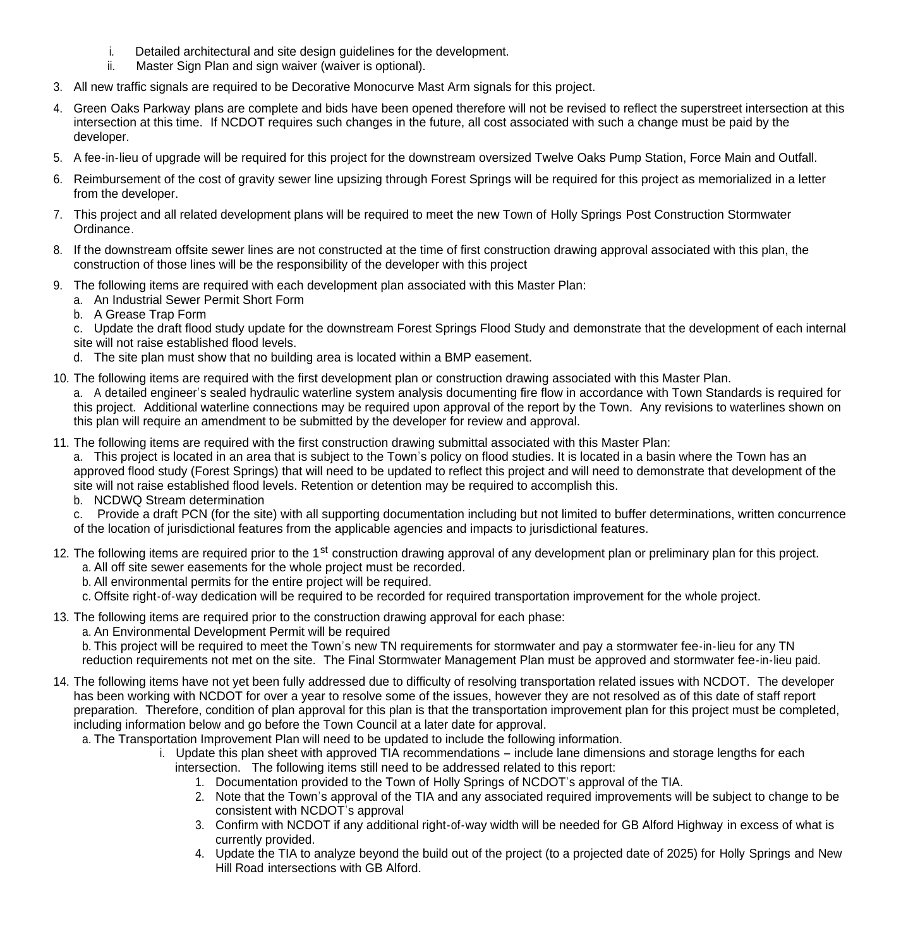- i. Detailed architectural and site design guidelines for the development.
- ii. Master Sign Plan and sign waiver (waiver is optional).
- 3. All new traffic signals are required to be Decorative Monocurve Mast Arm signals for this project.
- 4. Green Oaks Parkway plans are complete and bids have been opened therefore will not be revised to reflect the superstreet intersection at this intersection at this time. If NCDOT requires such changes in the future, all cost associated with such a change must be paid by the developer.
- 5. A fee-in-lieu of upgrade will be required for this project for the downstream oversized Twelve Oaks Pump Station, Force Main and Outfall.
- 6. Reimbursement of the cost of gravity sewer line upsizing through Forest Springs will be required for this project as memorialized in a letter from the developer.
- 7. This project and all related development plans will be required to meet the new Town of Holly Springs Post Construction Stormwater Ordinance.
- 8. If the downstream offsite sewer lines are not constructed at the time of first construction drawing approval associated with this plan, the construction of those lines will be the responsibility of the developer with this project
- 9. The following items are required with each development plan associated with this Master Plan:
	- a. An Industrial Sewer Permit Short Form
	- b. A Grease Trap Form

c. Update the draft flood study update for the downstream Forest Springs Flood Study and demonstrate that the development of each internal site will not raise established flood levels.

- d. The site plan must show that no building area is located within a BMP easement.
- 10. The following items are required with the first development plan or construction drawing associated with this Master Plan.

a. A detailed engineer's sealed hydraulic waterline system analysis documenting fire flow in accordance with Town Standards is required for this project. Additional waterline connections may be required upon approval of the report by the Town. Any revisions to waterlines shown on this plan will require an amendment to be submitted by the developer for review and approval.

11. The following items are required with the first construction drawing submittal associated with this Master Plan:

a. This project is located in an area that is subject to the Town's policy on flood studies. It is located in a basin where the Town has an approved flood study (Forest Springs) that will need to be updated to reflect this project and will need to demonstrate that development of the site will not raise established flood levels. Retention or detention may be required to accomplish this.

b. NCDWQ Stream determination

c. Provide a draft PCN (for the site) with all supporting documentation including but not limited to buffer determinations, written concurrence of the location of jurisdictional features from the applicable agencies and impacts to jurisdictional features.

- 12. The following items are required prior to the 1<sup>st</sup> construction drawing approval of any development plan or preliminary plan for this project.
	- a. All off site sewer easements for the whole project must be recorded.
	- b. All environmental permits for the entire project will be required.
	- c. Offsite right-of-way dedication will be required to be recorded for required transportation improvement for the whole project.
- 13. The following items are required prior to the construction drawing approval for each phase:
	- a. An Environmental Development Permit will be required

b. This project will be required to meet the Town's new TN requirements for stormwater and pay a stormwater fee-in-lieu for any TN reduction requirements not met on the site. The Final Stormwater Management Plan must be approved and stormwater fee-in-lieu paid.

- 14. The following items have not yet been fully addressed due to difficulty of resolving transportation related issues with NCDOT. The developer has been working with NCDOT for over a year to resolve some of the issues, however they are not resolved as of this date of staff report preparation. Therefore, condition of plan approval for this plan is that the transportation improvement plan for this project must be completed, including information below and go before the Town Council at a later date for approval.
	- a. The Transportation Improvement Plan will need to be updated to include the following information.
		- i. Update this plan sheet with approved TIA recommendations include lane dimensions and storage lengths for each intersection. The following items still need to be addressed related to this report:
			- 1. Documentation provided to the Town of Holly Springs of NCDOT's approval of the TIA.
			- 2. Note that the Town's approval of the TIA and any associated required improvements will be subject to change to be consistent with NCDOT's approval
			- 3. Confirm with NCDOT if any additional right-of-way width will be needed for GB Alford Highway in excess of what is currently provided.
			- 4. Update the TIA to analyze beyond the build out of the project (to a projected date of 2025) for Holly Springs and New Hill Road intersections with GB Alford.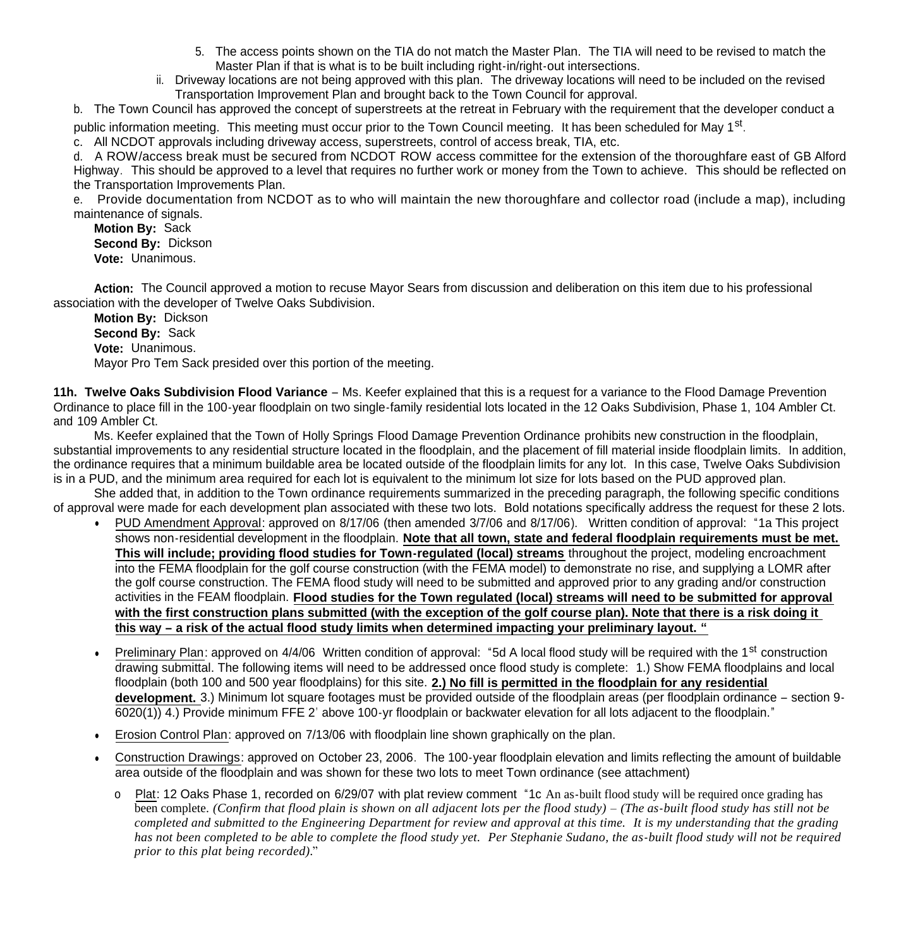- 5. The access points shown on the TIA do not match the Master Plan. The TIA will need to be revised to match the Master Plan if that is what is to be built including right-in/right-out intersections.
- ii. Driveway locations are not being approved with this plan. The driveway locations will need to be included on the revised Transportation Improvement Plan and brought back to the Town Council for approval.

b. The Town Council has approved the concept of superstreets at the retreat in February with the requirement that the developer conduct a

public information meeting. This meeting must occur prior to the Town Council meeting. It has been scheduled for May 1<sup>st</sup>.

c. All NCDOT approvals including driveway access, superstreets, control of access break, TIA, etc.

d. A ROW/access break must be secured from NCDOT ROW access committee for the extension of the thoroughfare east of GB Alford Highway. This should be approved to a level that requires no further work or money from the Town to achieve. This should be reflected on the Transportation Improvements Plan.

e. Provide documentation from NCDOT as to who will maintain the new thoroughfare and collector road (include a map), including maintenance of signals.

**Motion By:** Sack **Second By:** Dickson **Vote:** Unanimous.

**Action:** The Council approved a motion to recuse Mayor Sears from discussion and deliberation on this item due to his professional association with the developer of Twelve Oaks Subdivision.

**Motion By:** Dickson **Second By:** Sack **Vote:** Unanimous. Mayor Pro Tem Sack presided over this portion of the meeting.

**11h. Twelve Oaks Subdivision Flood Variance** – Ms. Keefer explained that this is a request for a variance to the Flood Damage Prevention Ordinance to place fill in the 100-year floodplain on two single-family residential lots located in the 12 Oaks Subdivision, Phase 1, 104 Ambler Ct. and 109 Ambler Ct.

 Ms. Keefer explained that the Town of Holly Springs Flood Damage Prevention Ordinance prohibits new construction in the floodplain, substantial improvements to any residential structure located in the floodplain, and the placement of fill material inside floodplain limits. In addition, the ordinance requires that a minimum buildable area be located outside of the floodplain limits for any lot. In this case, Twelve Oaks Subdivision is in a PUD, and the minimum area required for each lot is equivalent to the minimum lot size for lots based on the PUD approved plan.

She added that, in addition to the Town ordinance requirements summarized in the preceding paragraph, the following specific conditions of approval were made for each development plan associated with these two lots. Bold notations specifically address the request for these 2 lots.

- PUD Amendment Approval: approved on 8/17/06 (then amended 3/7/06 and 8/17/06). Written condition of approval: "1a This project shows non-residential development in the floodplain. **Note that all town, state and federal floodplain requirements must be met. This will include; providing flood studies for Town-regulated (local) streams** throughout the project, modeling encroachment into the FEMA floodplain for the golf course construction (with the FEMA model) to demonstrate no rise, and supplying a LOMR after the golf course construction. The FEMA flood study will need to be submitted and approved prior to any grading and/or construction activities in the FEAM floodplain. **Flood studies for the Town regulated (local) streams will need to be submitted for approval with the first construction plans submitted (with the exception of the golf course plan). Note that there is a risk doing it this way – a risk of the actual flood study limits when determined impacting your preliminary layout. "**
- Preliminary Plan: approved on 4/4/06 Written condition of approval: "5d A local flood study will be required with the 1<sup>st</sup> construction drawing submittal. The following items will need to be addressed once flood study is complete: 1.) Show FEMA floodplains and local floodplain (both 100 and 500 year floodplains) for this site. **2.) No fill is permitted in the floodplain for any residential development.** 3.) Minimum lot square footages must be provided outside of the floodplain areas (per floodplain ordinance – section 9- 6020(1)) 4.) Provide minimum FFE 2' above 100-yr floodplain or backwater elevation for all lots adjacent to the floodplain."
- Erosion Control Plan: approved on 7/13/06 with floodplain line shown graphically on the plan.
- Construction Drawings: approved on October 23, 2006. The 100-year floodplain elevation and limits reflecting the amount of buildable area outside of the floodplain and was shown for these two lots to meet Town ordinance (see attachment)
	- o Plat: 12 Oaks Phase 1, recorded on 6/29/07 with plat review comment "1c An as-built flood study will be required once grading has been complete. *(Confirm that flood plain is shown on all adjacent lots per the flood study) – (The as-built flood study has still not be completed and submitted to the Engineering Department for review and approval at this time. It is my understanding that the grading has not been completed to be able to complete the flood study yet. Per Stephanie Sudano, the as-built flood study will not be required prior to this plat being recorded).*"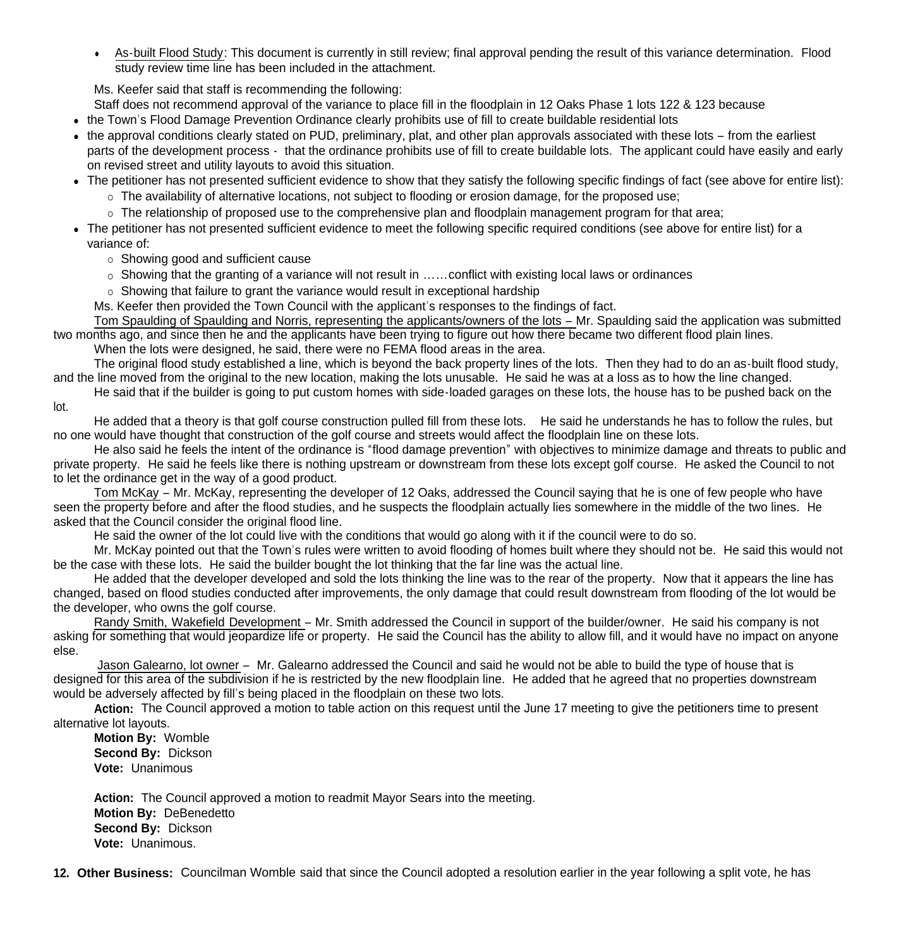As-built Flood Study: This document is currently in still review; final approval pending the result of this variance determination. Flood study review time line has been included in the attachment.

Ms. Keefer said that staff is recommending the following:

Staff does not recommend approval of the variance to place fill in the floodplain in 12 Oaks Phase 1 lots 122 & 123 because

- the Town's Flood Damage Prevention Ordinance clearly prohibits use of fill to create buildable residential lots
- the approval conditions clearly stated on PUD, preliminary, plat, and other plan approvals associated with these lots from the earliest parts of the development process - that the ordinance prohibits use of fill to create buildable lots. The applicant could have easily and early on revised street and utility layouts to avoid this situation.
- The petitioner has not presented sufficient evidence to show that they satisfy the following specific findings of fact (see above for entire list):
	- $\circ$  The availability of alternative locations, not subject to flooding or erosion damage, for the proposed use;
	- The relationship of proposed use to the comprehensive plan and floodplain management program for that area;
- The petitioner has not presented sufficient evidence to meet the following specific required conditions (see above for entire list) for a variance of:
	- Showing good and sufficient cause
	- $\circ$  Showing that the granting of a variance will not result in  $\ldots$  conflict with existing local laws or ordinances
	- $\circ$  Showing that failure to grant the variance would result in exceptional hardship
	- Ms. Keefer then provided the Town Council with the applicant's responses to the findings of fact.

Tom Spaulding of Spaulding and Norris, representing the applicants/owners of the lots – Mr. Spaulding said the application was submitted two months ago, and since then he and the applicants have been trying to figure out how there became two different flood plain lines.

When the lots were designed, he said, there were no FEMA flood areas in the area.

The original flood study established a line, which is beyond the back property lines of the lots. Then they had to do an as-built flood study, and the line moved from the original to the new location, making the lots unusable. He said he was at a loss as to how the line changed.

He said that if the builder is going to put custom homes with side-loaded garages on these lots, the house has to be pushed back on the lot.

He added that a theory is that golf course construction pulled fill from these lots. He said he understands he has to follow the rules, but no one would have thought that construction of the golf course and streets would affect the floodplain line on these lots.

He also said he feels the intent of the ordinance is "flood damage prevention" with objectives to minimize damage and threats to public and private property. He said he feels like there is nothing upstream or downstream from these lots except golf course. He asked the Council to not to let the ordinance get in the way of a good product.

Tom McKay – Mr. McKay, representing the developer of 12 Oaks, addressed the Council saying that he is one of few people who have seen the property before and after the flood studies, and he suspects the floodplain actually lies somewhere in the middle of the two lines. He asked that the Council consider the original flood line.

He said the owner of the lot could live with the conditions that would go along with it if the council were to do so.

Mr. McKay pointed out that the Town's rules were written to avoid flooding of homes built where they should not be. He said this would not be the case with these lots. He said the builder bought the lot thinking that the far line was the actual line.

He added that the developer developed and sold the lots thinking the line was to the rear of the property. Now that it appears the line has changed, based on flood studies conducted after improvements, the only damage that could result downstream from flooding of the lot would be the developer, who owns the golf course.

Randy Smith, Wakefield Development – Mr. Smith addressed the Council in support of the builder/owner. He said his company is not asking for something that would jeopardize life or property. He said the Council has the ability to allow fill, and it would have no impact on anyone else.

Jason Galearno, lot owner – Mr. Galearno addressed the Council and said he would not be able to build the type of house that is designed for this area of the subdivision if he is restricted by the new floodplain line. He added that he agreed that no properties downstream would be adversely affected by fill's being placed in the floodplain on these two lots.

**Action:** The Council approved a motion to table action on this request until the June 17 meeting to give the petitioners time to present alternative lot layouts.

**Motion By:** Womble **Second By:** Dickson **Vote:** Unanimous

**Action:** The Council approved a motion to readmit Mayor Sears into the meeting. **Motion By:** DeBenedetto **Second By:** Dickson **Vote:** Unanimous.

**12. Other Business:** Councilman Womble said that since the Council adopted a resolution earlier in the year following a split vote, he has